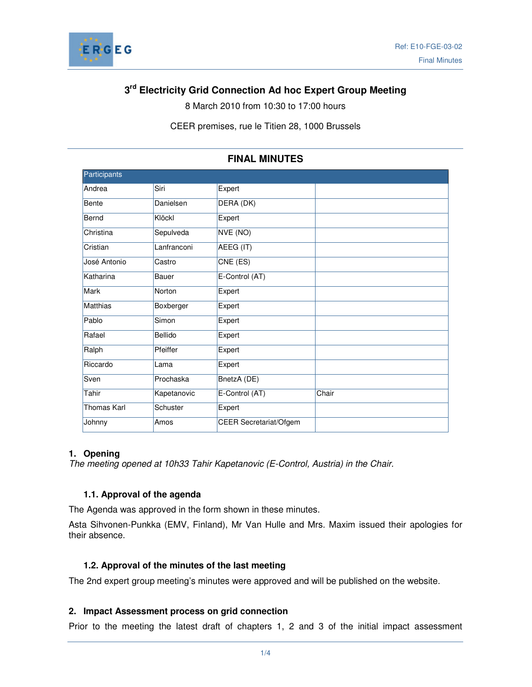

# **3 rd Electricity Grid Connection Ad hoc Expert Group Meeting**

8 March 2010 from 10:30 to 17:00 hours

CEER premises, rue le Titien 28, 1000 Brussels

| Participants    |             |                               |       |
|-----------------|-------------|-------------------------------|-------|
| Andrea          | Siri        | Expert                        |       |
| <b>Bente</b>    | Danielsen   | DERA (DK)                     |       |
| Bernd           | Klöckl      | Expert                        |       |
| Christina       | Sepulveda   | NVE (NO)                      |       |
| Cristian        | Lanfranconi | AEEG (IT)                     |       |
| José Antonio    | Castro      | CNE (ES)                      |       |
| Katharina       | Bauer       | E-Control (AT)                |       |
| Mark            | Norton      | Expert                        |       |
| <b>Matthias</b> | Boxberger   | Expert                        |       |
| Pablo           | Simon       | Expert                        |       |
| Rafael          | Bellido     | Expert                        |       |
| Ralph           | Pfeiffer    | Expert                        |       |
| Riccardo        | Lama        | Expert                        |       |
| Sven            | Prochaska   | BnetzA (DE)                   |       |
| Tahir           | Kapetanovic | E-Control (AT)                | Chair |
| Thomas Karl     | Schuster    | Expert                        |       |
| Johnny          | Amos        | <b>CEER</b> Secretariat/Ofgem |       |

### **FINAL MINUTES**

#### **1. Opening**

The meeting opened at 10h33 Tahir Kapetanovic (E-Control, Austria) in the Chair.

#### **1.1. Approval of the agenda**

The Agenda was approved in the form shown in these minutes.

Asta Sihvonen-Punkka (EMV, Finland), Mr Van Hulle and Mrs. Maxim issued their apologies for their absence.

#### **1.2. Approval of the minutes of the last meeting**

The 2nd expert group meeting's minutes were approved and will be published on the website.

#### **2. Impact Assessment process on grid connection**

Prior to the meeting the latest draft of chapters 1, 2 and 3 of the initial impact assessment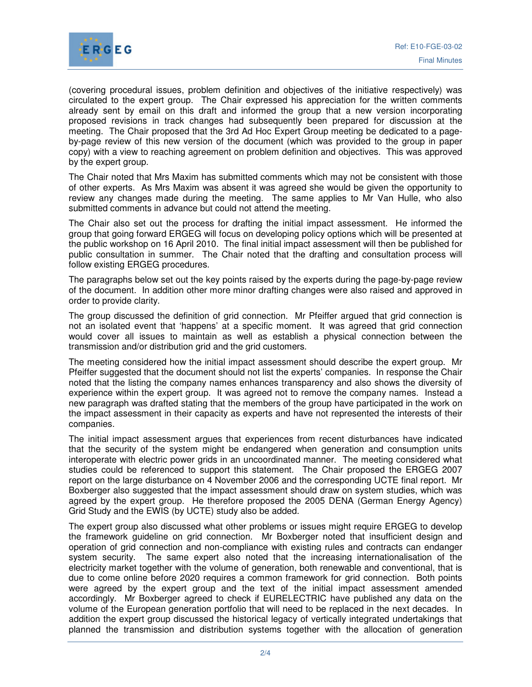

(covering procedural issues, problem definition and objectives of the initiative respectively) was circulated to the expert group. The Chair expressed his appreciation for the written comments already sent by email on this draft and informed the group that a new version incorporating proposed revisions in track changes had subsequently been prepared for discussion at the meeting. The Chair proposed that the 3rd Ad Hoc Expert Group meeting be dedicated to a pageby-page review of this new version of the document (which was provided to the group in paper copy) with a view to reaching agreement on problem definition and objectives. This was approved by the expert group.

The Chair noted that Mrs Maxim has submitted comments which may not be consistent with those of other experts. As Mrs Maxim was absent it was agreed she would be given the opportunity to review any changes made during the meeting. The same applies to Mr Van Hulle, who also submitted comments in advance but could not attend the meeting.

The Chair also set out the process for drafting the initial impact assessment. He informed the group that going forward ERGEG will focus on developing policy options which will be presented at the public workshop on 16 April 2010. The final initial impact assessment will then be published for public consultation in summer. The Chair noted that the drafting and consultation process will follow existing ERGEG procedures.

The paragraphs below set out the key points raised by the experts during the page-by-page review of the document. In addition other more minor drafting changes were also raised and approved in order to provide clarity.

The group discussed the definition of grid connection. Mr Pfeiffer argued that grid connection is not an isolated event that 'happens' at a specific moment. It was agreed that grid connection would cover all issues to maintain as well as establish a physical connection between the transmission and/or distribution grid and the grid customers.

The meeting considered how the initial impact assessment should describe the expert group. Mr Pfeiffer suggested that the document should not list the experts' companies. In response the Chair noted that the listing the company names enhances transparency and also shows the diversity of experience within the expert group. It was agreed not to remove the company names. Instead a new paragraph was drafted stating that the members of the group have participated in the work on the impact assessment in their capacity as experts and have not represented the interests of their companies.

The initial impact assessment argues that experiences from recent disturbances have indicated that the security of the system might be endangered when generation and consumption units interoperate with electric power grids in an uncoordinated manner. The meeting considered what studies could be referenced to support this statement. The Chair proposed the ERGEG 2007 report on the large disturbance on 4 November 2006 and the corresponding UCTE final report. Mr Boxberger also suggested that the impact assessment should draw on system studies, which was agreed by the expert group. He therefore proposed the 2005 DENA (German Energy Agency) Grid Study and the EWIS (by UCTE) study also be added.

The expert group also discussed what other problems or issues might require ERGEG to develop the framework guideline on grid connection. Mr Boxberger noted that insufficient design and operation of grid connection and non-compliance with existing rules and contracts can endanger system security. The same expert also noted that the increasing internationalisation of the electricity market together with the volume of generation, both renewable and conventional, that is due to come online before 2020 requires a common framework for grid connection. Both points were agreed by the expert group and the text of the initial impact assessment amended accordingly. Mr Boxberger agreed to check if EURELECTRIC have published any data on the volume of the European generation portfolio that will need to be replaced in the next decades. In addition the expert group discussed the historical legacy of vertically integrated undertakings that planned the transmission and distribution systems together with the allocation of generation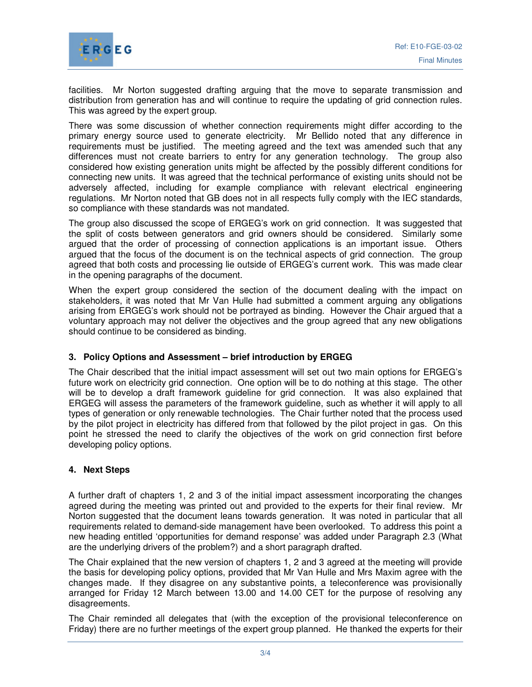facilities. Mr Norton suggested drafting arguing that the move to separate transmission and distribution from generation has and will continue to require the updating of grid connection rules. This was agreed by the expert group.

There was some discussion of whether connection requirements might differ according to the primary energy source used to generate electricity. Mr Bellido noted that any difference in requirements must be justified. The meeting agreed and the text was amended such that any differences must not create barriers to entry for any generation technology. The group also considered how existing generation units might be affected by the possibly different conditions for connecting new units. It was agreed that the technical performance of existing units should not be adversely affected, including for example compliance with relevant electrical engineering regulations. Mr Norton noted that GB does not in all respects fully comply with the IEC standards, so compliance with these standards was not mandated.

The group also discussed the scope of ERGEG's work on grid connection. It was suggested that the split of costs between generators and grid owners should be considered. Similarly some argued that the order of processing of connection applications is an important issue. Others argued that the focus of the document is on the technical aspects of grid connection. The group agreed that both costs and processing lie outside of ERGEG's current work. This was made clear in the opening paragraphs of the document.

When the expert group considered the section of the document dealing with the impact on stakeholders, it was noted that Mr Van Hulle had submitted a comment arguing any obligations arising from ERGEG's work should not be portrayed as binding. However the Chair argued that a voluntary approach may not deliver the objectives and the group agreed that any new obligations should continue to be considered as binding.

### **3. Policy Options and Assessment – brief introduction by ERGEG**

The Chair described that the initial impact assessment will set out two main options for ERGEG's future work on electricity grid connection. One option will be to do nothing at this stage. The other will be to develop a draft framework guideline for grid connection. It was also explained that ERGEG will assess the parameters of the framework guideline, such as whether it will apply to all types of generation or only renewable technologies. The Chair further noted that the process used by the pilot project in electricity has differed from that followed by the pilot project in gas. On this point he stressed the need to clarify the objectives of the work on grid connection first before developing policy options.

### **4. Next Steps**

A further draft of chapters 1, 2 and 3 of the initial impact assessment incorporating the changes agreed during the meeting was printed out and provided to the experts for their final review. Mr Norton suggested that the document leans towards generation. It was noted in particular that all requirements related to demand-side management have been overlooked. To address this point a new heading entitled 'opportunities for demand response' was added under Paragraph 2.3 (What are the underlying drivers of the problem?) and a short paragraph drafted.

The Chair explained that the new version of chapters 1, 2 and 3 agreed at the meeting will provide the basis for developing policy options, provided that Mr Van Hulle and Mrs Maxim agree with the changes made. If they disagree on any substantive points, a teleconference was provisionally arranged for Friday 12 March between 13.00 and 14.00 CET for the purpose of resolving any disagreements.

The Chair reminded all delegates that (with the exception of the provisional teleconference on Friday) there are no further meetings of the expert group planned. He thanked the experts for their